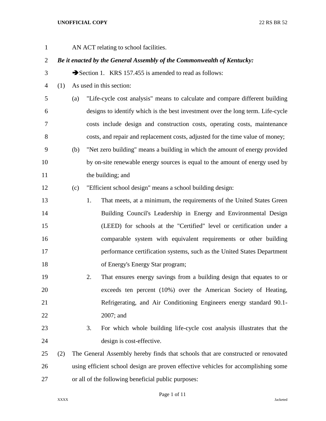| $\mathbf{1}$   |     |     |    | AN ACT relating to school facilities.                                              |
|----------------|-----|-----|----|------------------------------------------------------------------------------------|
| $\overline{2}$ |     |     |    | Be it enacted by the General Assembly of the Commonwealth of Kentucky:             |
| 3              |     |     |    | Section 1. KRS 157.455 is amended to read as follows:                              |
| $\overline{4}$ | (1) |     |    | As used in this section:                                                           |
| 5              |     | (a) |    | "Life-cycle cost analysis" means to calculate and compare different building       |
| 6              |     |     |    | designs to identify which is the best investment over the long term. Life-cycle    |
| 7              |     |     |    | costs include design and construction costs, operating costs, maintenance          |
| 8              |     |     |    | costs, and repair and replacement costs, adjusted for the time value of money;     |
| 9              |     | (b) |    | "Net zero building" means a building in which the amount of energy provided        |
| 10             |     |     |    | by on-site renewable energy sources is equal to the amount of energy used by       |
| 11             |     |     |    | the building; and                                                                  |
| 12             |     | (c) |    | "Efficient school design" means a school building design:                          |
| 13             |     |     | 1. | That meets, at a minimum, the requirements of the United States Green              |
| 14             |     |     |    | Building Council's Leadership in Energy and Environmental Design                   |
| 15             |     |     |    | (LEED) for schools at the "Certified" level or certification under a               |
| 16             |     |     |    | comparable system with equivalent requirements or other building                   |
| 17             |     |     |    | performance certification systems, such as the United States Department            |
| 18             |     |     |    | of Energy's Energy Star program;                                                   |
| 19             |     |     | 2. | That ensures energy savings from a building design that equates to or              |
| 20             |     |     |    | exceeds ten percent (10%) over the American Society of Heating,                    |
| 21             |     |     |    | Refrigerating, and Air Conditioning Engineers energy standard 90.1-                |
| 22             |     |     |    | 2007; and                                                                          |
| 23             |     |     | 3. | For which whole building life-cycle cost analysis illustrates that the             |
| 24             |     |     |    | design is cost-effective.                                                          |
| 25             | (2) |     |    | The General Assembly hereby finds that schools that are constructed or renovated   |
| 26             |     |     |    | using efficient school design are proven effective vehicles for accomplishing some |
| 27             |     |     |    | or all of the following beneficial public purposes:                                |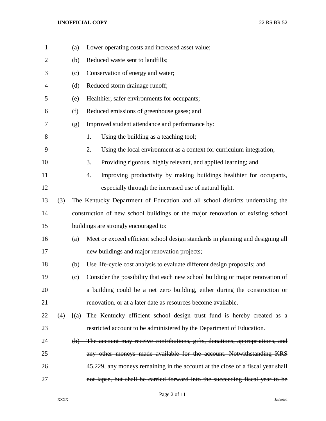| $\mathbf{1}$   |     | (a) | Lower operating costs and increased asset value;                                 |
|----------------|-----|-----|----------------------------------------------------------------------------------|
| $\overline{2}$ |     | (b) | Reduced waste sent to landfills;                                                 |
| 3              |     | (c) | Conservation of energy and water;                                                |
| 4              |     | (d) | Reduced storm drainage runoff;                                                   |
| 5              |     | (e) | Healthier, safer environments for occupants;                                     |
| 6              |     | (f) | Reduced emissions of greenhouse gases; and                                       |
| 7              |     | (g) | Improved student attendance and performance by:                                  |
| 8              |     |     | Using the building as a teaching tool;<br>1.                                     |
| 9              |     |     | Using the local environment as a context for curriculum integration;<br>2.       |
| 10             |     |     | 3.<br>Providing rigorous, highly relevant, and applied learning; and             |
| 11             |     |     | Improving productivity by making buildings healthier for occupants,<br>4.        |
| 12             |     |     | especially through the increased use of natural light.                           |
| 13             | (3) |     | The Kentucky Department of Education and all school districts undertaking the    |
| 14             |     |     | construction of new school buildings or the major renovation of existing school  |
| 15             |     |     | buildings are strongly encouraged to:                                            |
| 16             |     | (a) | Meet or exceed efficient school design standards in planning and designing all   |
| 17             |     |     | new buildings and major renovation projects;                                     |
| 18             |     | (b) | Use life-cycle cost analysis to evaluate different design proposals; and         |
| 19             |     | (c) | Consider the possibility that each new school building or major renovation of    |
| 20             |     |     | a building could be a net zero building, either during the construction or       |
| 21             |     |     | renovation, or at a later date as resources become available.                    |
| 22             | (4) |     | $[(a)$ The Kentucky efficient school design trust fund is hereby created as a    |
| 23             |     |     | restricted account to be administered by the Department of Education.            |
| 24             |     |     | (b) The account may receive contributions, gifts, donations, appropriations, and |
| 25             |     |     | any other moneys made available for the account. Notwithstanding KRS             |
| 26             |     |     | 45.229, any moneys remaining in the account at the close of a fiscal year shall  |
| 27             |     |     | not lapse, but shall be carried forward into the succeeding fiscal year to be    |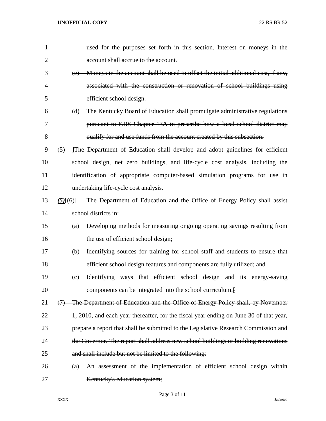| 1              | used for the purposes set forth in this section. Interest on moneys in the                |
|----------------|-------------------------------------------------------------------------------------------|
| $\overline{2}$ | account shall accrue to the account.                                                      |
| 3              | Moneys in the account shall be used to offset the initial additional cost, if any,<br>(e) |
| 4              | associated with the construction or renovation of school buildings using                  |
| 5              | efficient school design.                                                                  |
| 6              | The Kentucky Board of Education shall promulgate administrative regulations<br>(d)        |
| 7              | pursuant to KRS Chapter 13A to prescribe how a local school district may                  |
| 8              | qualify for and use funds from the account created by this subsection.                    |
| 9              | $(5)$ The Department of Education shall develop and adopt guidelines for efficient        |
| 10             | school design, net zero buildings, and life-cycle cost analysis, including the            |
| 11             | identification of appropriate computer-based simulation programs for use in               |
| 12             | undertaking life-cycle cost analysis.                                                     |
| 13             | The Department of Education and the Office of Energy Policy shall assist<br>$(5)$ $(6)$   |
| 14             | school districts in:                                                                      |
| 15             | Developing methods for measuring ongoing operating savings resulting from<br>(a)          |
| 16             | the use of efficient school design;                                                       |
| 17             | Identifying sources for training for school staff and students to ensure that<br>(b)      |
| 18             | efficient school design features and components are fully utilized; and                   |
| 19             | Identifying ways that efficient school design and its energy-saving<br>(c)                |
| 20             | components can be integrated into the school curriculum.                                  |
| 21             | The Department of Education and the Office of Energy Policy shall, by November<br>(7)     |
| 22             | 1, 2010, and each year thereafter, for the fiscal year ending on June 30 of that year,    |
| 23             | prepare a report that shall be submitted to the Legislative Research Commission and       |
| 24             | the Governor. The report shall address new school buildings or building renovations       |
| 25             | and shall include but not be limited to the following:                                    |
| 26             | An assessment of the implementation of efficient school design within<br>(a)              |
| 27             | Kentucky's education system;                                                              |

Page 3 of 11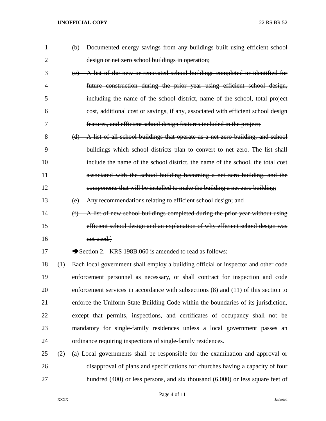| $\mathbf{1}$   |     | (b) Documented energy savings from any buildings built using efficient school           |
|----------------|-----|-----------------------------------------------------------------------------------------|
| $\overline{2}$ |     | design or net zero school buildings in operation;                                       |
| 3              |     | (c) A list of the new or renovated school buildings completed or identified for         |
| 4              |     | future construction during the prior year using efficient school design,                |
| 5              |     | including the name of the school district, name of the school, total project            |
| 6              |     | cost, additional cost or savings, if any, associated with efficient school design       |
| 7              |     | features, and efficient school design features included in the project;                 |
| 8              |     | (d) A list of all school buildings that operate as a net zero building, and school      |
| 9              |     | buildings which school districts plan to convert to net zero. The list shall            |
| 10             |     | include the name of the school district, the name of the school, the total cost         |
| 11             |     | associated with the school building becoming a net zero building, and the               |
| 12             |     | components that will be installed to make the building a net zero building;             |
| 13             |     | Any recommendations relating to efficient school design; and<br>(e)                     |
| 14             |     | A list of new school buildings completed during the prior year without using<br>(f)     |
| 15             |     | efficient school design and an explanation of why efficient school design was           |
| 16             |     | not used.                                                                               |
| 17             |     | Section 2. KRS 198B.060 is amended to read as follows:                                  |
| 18             | (1) | Each local government shall employ a building official or inspector and other code      |
| 19             |     | enforcement personnel as necessary, or shall contract for inspection and code           |
| 20             |     | enforcement services in accordance with subsections $(8)$ and $(11)$ of this section to |
| 21             |     | enforce the Uniform State Building Code within the boundaries of its jurisdiction,      |
| 22             |     | except that permits, inspections, and certificates of occupancy shall not be            |
| 23             |     | mandatory for single-family residences unless a local government passes an              |
| 24             |     | ordinance requiring inspections of single-family residences.                            |
| 25             | (2) | (a) Local governments shall be responsible for the examination and approval or          |
| 26             |     | disapproval of plans and specifications for churches having a capacity of four          |
| 27             |     | hundred $(400)$ or less persons, and six thousand $(6,000)$ or less square feet of      |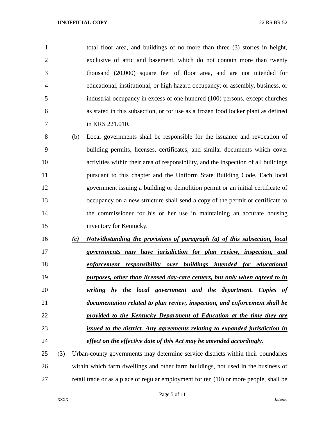total floor area, and buildings of no more than three (3) stories in height, exclusive of attic and basement, which do not contain more than twenty thousand (20,000) square feet of floor area, and are not intended for educational, institutional, or high hazard occupancy; or assembly, business, or industrial occupancy in excess of one hundred (100) persons, except churches as stated in this subsection, or for use as a frozen food locker plant as defined in KRS 221.010.

 (b) Local governments shall be responsible for the issuance and revocation of building permits, licenses, certificates, and similar documents which cover activities within their area of responsibility, and the inspection of all buildings pursuant to this chapter and the Uniform State Building Code. Each local government issuing a building or demolition permit or an initial certificate of occupancy on a new structure shall send a copy of the permit or certificate to the commissioner for his or her use in maintaining an accurate housing inventory for Kentucky.

 *(c) Notwithstanding the provisions of paragraph (a) of this subsection, local governments may have jurisdiction for plan review, inspection, and enforcement responsibility over buildings intended for educational purposes, other than licensed day-care centers, but only when agreed to in writing by the local government and the department. Copies of documentation related to plan review, inspection, and enforcement shall be provided to the Kentucky Department of Education at the time they are issued to the district. Any agreements relating to expanded jurisdiction in effect on the effective date of this Act may be amended accordingly.*

 (3) Urban-county governments may determine service districts within their boundaries within which farm dwellings and other farm buildings, not used in the business of retail trade or as a place of regular employment for ten (10) or more people, shall be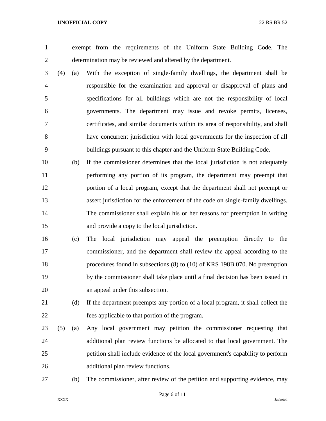exempt from the requirements of the Uniform State Building Code. The determination may be reviewed and altered by the department.

- (4) (a) With the exception of single-family dwellings, the department shall be responsible for the examination and approval or disapproval of plans and specifications for all buildings which are not the responsibility of local governments. The department may issue and revoke permits, licenses, certificates, and similar documents within its area of responsibility, and shall have concurrent jurisdiction with local governments for the inspection of all buildings pursuant to this chapter and the Uniform State Building Code.
- (b) If the commissioner determines that the local jurisdiction is not adequately performing any portion of its program, the department may preempt that portion of a local program, except that the department shall not preempt or assert jurisdiction for the enforcement of the code on single-family dwellings. The commissioner shall explain his or her reasons for preemption in writing and provide a copy to the local jurisdiction.
- (c) The local jurisdiction may appeal the preemption directly to the commissioner, and the department shall review the appeal according to the procedures found in subsections (8) to (10) of KRS 198B.070. No preemption by the commissioner shall take place until a final decision has been issued in an appeal under this subsection.
- (d) If the department preempts any portion of a local program, it shall collect the fees applicable to that portion of the program.
- (5) (a) Any local government may petition the commissioner requesting that additional plan review functions be allocated to that local government. The petition shall include evidence of the local government's capability to perform additional plan review functions.
- 

(b) The commissioner, after review of the petition and supporting evidence, may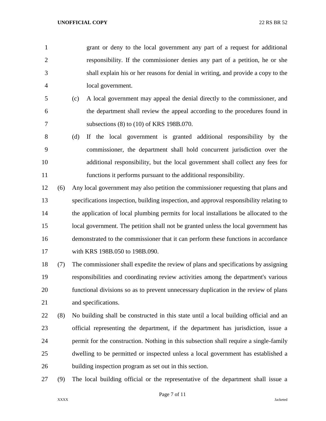grant or deny to the local government any part of a request for additional responsibility. If the commissioner denies any part of a petition, he or she shall explain his or her reasons for denial in writing, and provide a copy to the local government.

- (c) A local government may appeal the denial directly to the commissioner, and the department shall review the appeal according to the procedures found in 7 subsections (8) to (10) of KRS 198B.070.
- (d) If the local government is granted additional responsibility by the commissioner, the department shall hold concurrent jurisdiction over the additional responsibility, but the local government shall collect any fees for functions it performs pursuant to the additional responsibility.
- (6) Any local government may also petition the commissioner requesting that plans and specifications inspection, building inspection, and approval responsibility relating to the application of local plumbing permits for local installations be allocated to the local government. The petition shall not be granted unless the local government has demonstrated to the commissioner that it can perform these functions in accordance with KRS 198B.050 to 198B.090.

 (7) The commissioner shall expedite the review of plans and specifications by assigning responsibilities and coordinating review activities among the department's various functional divisions so as to prevent unnecessary duplication in the review of plans and specifications.

- (8) No building shall be constructed in this state until a local building official and an official representing the department, if the department has jurisdiction, issue a permit for the construction. Nothing in this subsection shall require a single-family dwelling to be permitted or inspected unless a local government has established a building inspection program as set out in this section.
- (9) The local building official or the representative of the department shall issue a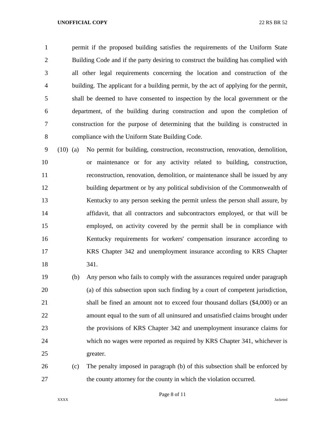permit if the proposed building satisfies the requirements of the Uniform State Building Code and if the party desiring to construct the building has complied with all other legal requirements concerning the location and construction of the building. The applicant for a building permit, by the act of applying for the permit, shall be deemed to have consented to inspection by the local government or the department, of the building during construction and upon the completion of construction for the purpose of determining that the building is constructed in compliance with the Uniform State Building Code.

 (10) (a) No permit for building, construction, reconstruction, renovation, demolition, or maintenance or for any activity related to building, construction, reconstruction, renovation, demolition, or maintenance shall be issued by any building department or by any political subdivision of the Commonwealth of Kentucky to any person seeking the permit unless the person shall assure, by affidavit, that all contractors and subcontractors employed, or that will be employed, on activity covered by the permit shall be in compliance with Kentucky requirements for workers' compensation insurance according to KRS Chapter 342 and unemployment insurance according to KRS Chapter 341.

 (b) Any person who fails to comply with the assurances required under paragraph (a) of this subsection upon such finding by a court of competent jurisdiction, 21 shall be fined an amount not to exceed four thousand dollars (\$4,000) or an amount equal to the sum of all uninsured and unsatisfied claims brought under the provisions of KRS Chapter 342 and unemployment insurance claims for which no wages were reported as required by KRS Chapter 341, whichever is greater.

 (c) The penalty imposed in paragraph (b) of this subsection shall be enforced by the county attorney for the county in which the violation occurred.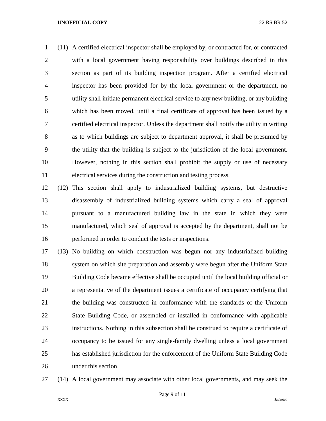(11) A certified electrical inspector shall be employed by, or contracted for, or contracted with a local government having responsibility over buildings described in this section as part of its building inspection program. After a certified electrical inspector has been provided for by the local government or the department, no utility shall initiate permanent electrical service to any new building, or any building which has been moved, until a final certificate of approval has been issued by a certified electrical inspector. Unless the department shall notify the utility in writing as to which buildings are subject to department approval, it shall be presumed by the utility that the building is subject to the jurisdiction of the local government. However, nothing in this section shall prohibit the supply or use of necessary electrical services during the construction and testing process.

 (12) This section shall apply to industrialized building systems, but destructive disassembly of industrialized building systems which carry a seal of approval pursuant to a manufactured building law in the state in which they were manufactured, which seal of approval is accepted by the department, shall not be performed in order to conduct the tests or inspections.

 (13) No building on which construction was begun nor any industrialized building system on which site preparation and assembly were begun after the Uniform State Building Code became effective shall be occupied until the local building official or a representative of the department issues a certificate of occupancy certifying that the building was constructed in conformance with the standards of the Uniform State Building Code, or assembled or installed in conformance with applicable instructions. Nothing in this subsection shall be construed to require a certificate of occupancy to be issued for any single-family dwelling unless a local government has established jurisdiction for the enforcement of the Uniform State Building Code under this section.

(14) A local government may associate with other local governments, and may seek the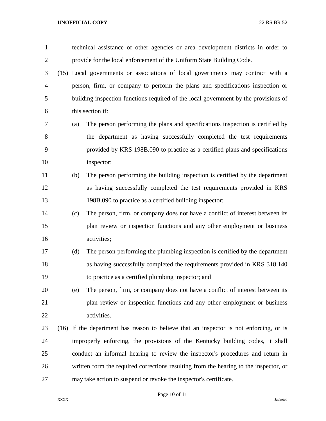| $\mathbf{1}$   |                                                                                       | technical assistance of other agencies or area development districts in order to       |  |  |
|----------------|---------------------------------------------------------------------------------------|----------------------------------------------------------------------------------------|--|--|
| 2              | provide for the local enforcement of the Uniform State Building Code.                 |                                                                                        |  |  |
| 3              | (15) Local governments or associations of local governments may contract with a       |                                                                                        |  |  |
| $\overline{4}$ |                                                                                       | person, firm, or company to perform the plans and specifications inspection or         |  |  |
| 5              | building inspection functions required of the local government by the provisions of   |                                                                                        |  |  |
| 6              |                                                                                       | this section if:                                                                       |  |  |
| 7              | (a)                                                                                   | The person performing the plans and specifications inspection is certified by          |  |  |
| 8              |                                                                                       | the department as having successfully completed the test requirements                  |  |  |
| 9              |                                                                                       | provided by KRS 198B.090 to practice as a certified plans and specifications           |  |  |
| 10             |                                                                                       | inspector;                                                                             |  |  |
| 11             | (b)                                                                                   | The person performing the building inspection is certified by the department           |  |  |
| 12             |                                                                                       | as having successfully completed the test requirements provided in KRS                 |  |  |
| 13             |                                                                                       | 198B.090 to practice as a certified building inspector;                                |  |  |
| 14             | (c)                                                                                   | The person, firm, or company does not have a conflict of interest between its          |  |  |
| 15             |                                                                                       | plan review or inspection functions and any other employment or business               |  |  |
| 16             |                                                                                       | activities;                                                                            |  |  |
| 17             | (d)                                                                                   | The person performing the plumbing inspection is certified by the department           |  |  |
| 18             |                                                                                       | as having successfully completed the requirements provided in KRS 318.140              |  |  |
| 19             |                                                                                       | to practice as a certified plumbing inspector; and                                     |  |  |
| 20             | (e)                                                                                   | The person, firm, or company does not have a conflict of interest between its          |  |  |
| 21             |                                                                                       | plan review or inspection functions and any other employment or business               |  |  |
| 22             |                                                                                       | activities.                                                                            |  |  |
| 23             |                                                                                       | (16) If the department has reason to believe that an inspector is not enforcing, or is |  |  |
| 24             |                                                                                       | improperly enforcing, the provisions of the Kentucky building codes, it shall          |  |  |
| 25             | conduct an informal hearing to review the inspector's procedures and return in        |                                                                                        |  |  |
| 26             | written form the required corrections resulting from the hearing to the inspector, or |                                                                                        |  |  |
| 27             | may take action to suspend or revoke the inspector's certificate.                     |                                                                                        |  |  |

# Page 10 of 11